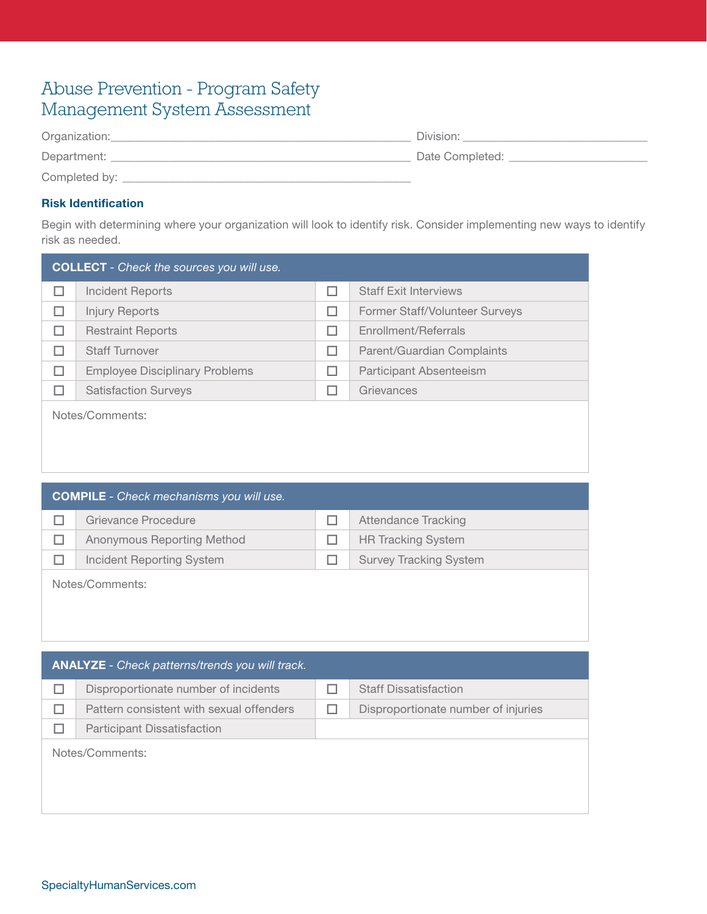# Abuse Prevention - Program Safety Management System Assessment

| Organization: | Division:       |
|---------------|-----------------|
| Department:   | Date Completed: |
| Completed by: |                 |

### Risk Identification

Begin with determining where your organization will look to identify risk. Consider implementing new ways to identify risk as needed.

| <b>COLLECT</b> - Check the sources you will use. |                                       |   |                                |
|--------------------------------------------------|---------------------------------------|---|--------------------------------|
| п                                                | <b>Incident Reports</b>               | П | <b>Staff Exit Interviews</b>   |
| П                                                | <b>Injury Reports</b>                 | П | Former Staff/Volunteer Surveys |
| П                                                | <b>Restraint Reports</b>              | П | Enrollment/Referrals           |
| H                                                | <b>Staff Turnover</b>                 | П | Parent/Guardian Complaints     |
| П                                                | <b>Employee Disciplinary Problems</b> | ш | Participant Absenteeism        |
| H                                                | <b>Satisfaction Surveys</b>           |   | Grievances                     |
| Notes/Comments:                                  |                                       |   |                                |

| <b>COMPILE</b> - Check mechanisms you will use. |                               |
|-------------------------------------------------|-------------------------------|
| Grievance Procedure                             | Attendance Tracking           |
| Anonymous Reporting Method                      | <b>HR Tracking System</b>     |
| Incident Reporting System                       | <b>Survey Tracking System</b> |
| Notes/Comments:                                 |                               |

| <b>ANALYZE</b> - Check patterns/trends you will track. |                                          |  |                                     |
|--------------------------------------------------------|------------------------------------------|--|-------------------------------------|
|                                                        | Disproportionate number of incidents     |  | <b>Staff Dissatisfaction</b>        |
|                                                        | Pattern consistent with sexual offenders |  | Disproportionate number of injuries |
|                                                        | <b>Participant Dissatisfaction</b>       |  |                                     |
|                                                        | Notes/Comments:                          |  |                                     |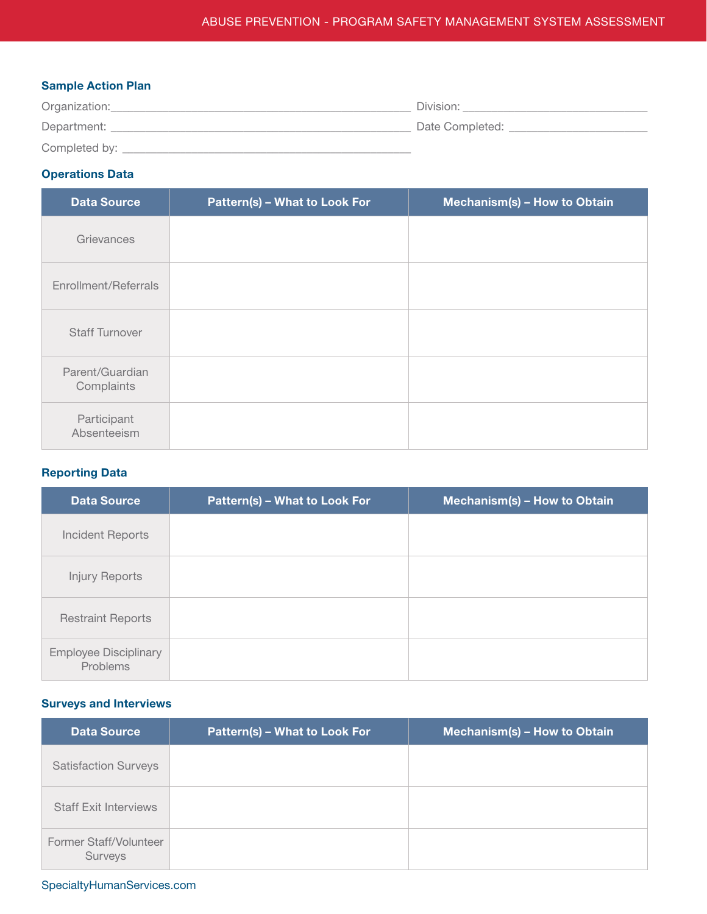#### Sample Action Plan

| Organization: | Division:       |
|---------------|-----------------|
| Department:   | Date Completed: |
| Completed by: |                 |

## Operations Data

| <b>Data Source</b>            | Pattern(s) - What to Look For | Mechanism(s) - How to Obtain |
|-------------------------------|-------------------------------|------------------------------|
| Grievances                    |                               |                              |
| Enrollment/Referrals          |                               |                              |
| <b>Staff Turnover</b>         |                               |                              |
| Parent/Guardian<br>Complaints |                               |                              |
| Participant<br>Absenteeism    |                               |                              |

### Reporting Data

| <b>Data Source</b>                       | Pattern(s) - What to Look For | Mechanism(s) - How to Obtain |
|------------------------------------------|-------------------------------|------------------------------|
| Incident Reports                         |                               |                              |
| <b>Injury Reports</b>                    |                               |                              |
| <b>Restraint Reports</b>                 |                               |                              |
| <b>Employee Disciplinary</b><br>Problems |                               |                              |

#### Surveys and Interviews

| <b>Data Source</b>                | <b>Pattern(s) - What to Look For</b> | Mechanism(s) - How to Obtain |
|-----------------------------------|--------------------------------------|------------------------------|
| <b>Satisfaction Surveys</b>       |                                      |                              |
| <b>Staff Exit Interviews</b>      |                                      |                              |
| Former Staff/Volunteer<br>Surveys |                                      |                              |

## SpecialtyHumanServices.com